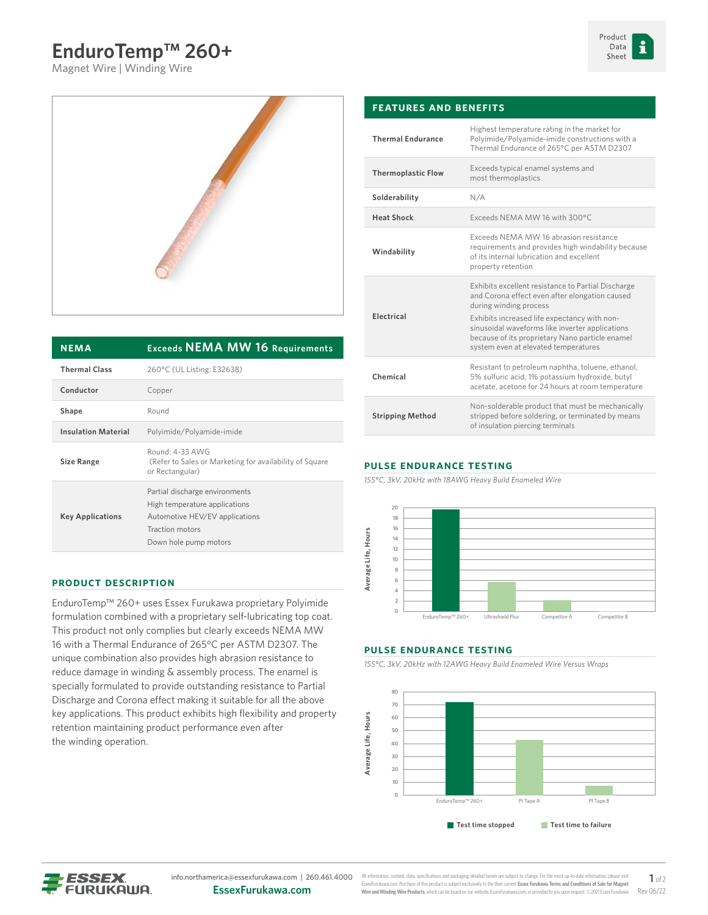# **EnduroTemp™ 260+**

Magnet Wire | Winding Wire





| <b>NEMA</b>                | <b>Exceeds NEMA MW 16 Requirements</b>                                                                                                        |  |  |
|----------------------------|-----------------------------------------------------------------------------------------------------------------------------------------------|--|--|
| <b>Thermal Class</b>       | 260°C (UL Listing: E32638)                                                                                                                    |  |  |
| Conductor                  | Copper                                                                                                                                        |  |  |
| Shape                      | Round                                                                                                                                         |  |  |
| <b>Insulation Material</b> | Polyimide/Polyamide-imide                                                                                                                     |  |  |
| <b>Size Range</b>          | Round: 4-33 AWG<br>(Refer to Sales or Marketing for availability of Square<br>or Rectangular)                                                 |  |  |
| <b>Key Applications</b>    | Partial discharge environments<br>High temperature applications<br>Automotive HEV/EV applications<br>Traction motors<br>Down hole pump motors |  |  |

### **Product Description**

EnduroTemp™ 260+ uses Essex Furukawa proprietary Polyimide formulation combined with a proprietary self-lubricating top coat. This product not only complies but clearly exceeds NEMA MW 16 with a Thermal Endurance of 265°C per ASTM D2307. The unique combination also provides high abrasion resistance to reduce damage in winding & assembly process. The enamel is specially formulated to provide outstanding resistance to Partial Discharge and Corona effect making it suitable for all the above key applications. This product exhibits high flexibility and property retention maintaining product performance even after the winding operation.

#### **Features and Benefits Thermal Endurance** Highest temperature rating in the market for Polyimide/Polyamide-imide constructions with a Thermal Endurance of 265°C per ASTM D2307 **Thermoplastic Flow** Exceeds typical enamel systems and most thermoplastics **Solderability** N/A **Heat Shock** Exceeds NEMA MW 16 with 300°C **Windability** Exceeds NEMA MW 16 abrasion resistance requirements and provides high windability because of its internal lubrication and excellent property retention **Electrical** Exhibits excellent resistance to Partial Discharge and Corona effect even after elongation caused during winding process Exhibits increased life expectancy with nonsinusoidal waveforms like inverter applications because of its proprietary Nano particle enamel system even at elevated temperatures **Chemical** Resistant to petroleum naphtha, toluene, ethanol, 5% sulfuric acid, 1% potassium hydroxide, butyl acetate, acetone for 24 hours at room temperature **Stripping Method** Non-solderable product that must be mechanically stripped before soldering, or terminated by means of insulation piercing terminals

#### **Pulse Endurance Testing**

*155°C, 3kV, 20kHz with 18AWG Heavy Build Enameled Wire*



#### **Pulse Endurance Testing**

*155°C, 3kV, 20kHz with 12AWG Heavy Build Enameled Wire Versus Wraps*





All information, content, data, specifications and packaging detailed herein are subject to change. For the most up-to-date informa EssexFurukawa.com. Purchase of this product is subject exclusively to the then current **Essex Furukawa Terms and Conditions of Sale for Magnet Wire and Winding Wire Products**, which can be found on our website, EssexFurukawa.com, or provided to you upon request. ©2021 Essex Furukawa